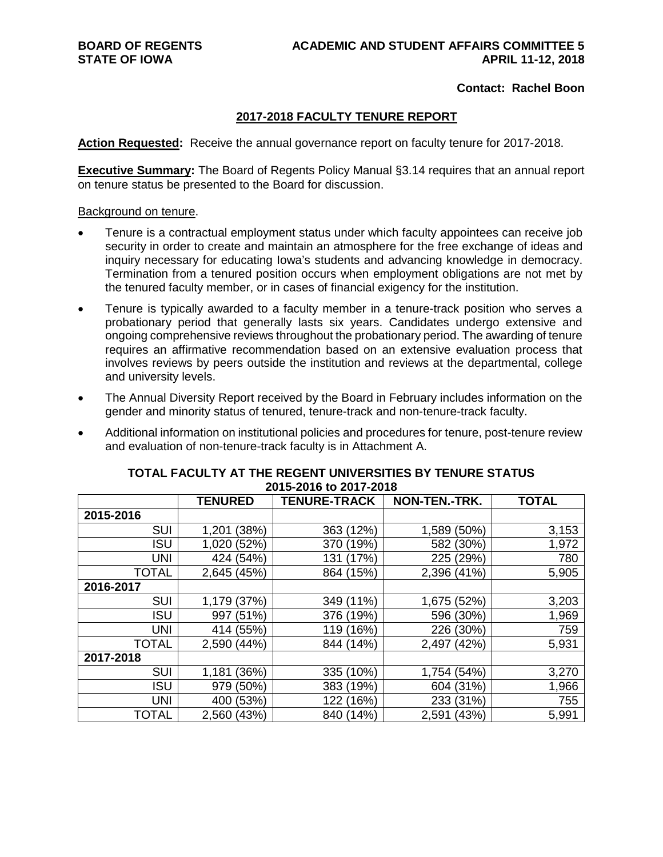# **Contact: Rachel Boon**

# **2017-2018 FACULTY TENURE REPORT**

**Action Requested:** Receive the annual governance report on faculty tenure for 2017-2018.

**Executive Summary:** The Board of Regents Policy Manual §3.14 requires that an annual report on tenure status be presented to the Board for discussion.

#### Background on tenure.

- Tenure is a contractual employment status under which faculty appointees can receive job security in order to create and maintain an atmosphere for the free exchange of ideas and inquiry necessary for educating Iowa's students and advancing knowledge in democracy. Termination from a tenured position occurs when employment obligations are not met by the tenured faculty member, or in cases of financial exigency for the institution.
- Tenure is typically awarded to a faculty member in a tenure-track position who serves a probationary period that generally lasts six years. Candidates undergo extensive and ongoing comprehensive reviews throughout the probationary period. The awarding of tenure requires an affirmative recommendation based on an extensive evaluation process that involves reviews by peers outside the institution and reviews at the departmental, college and university levels.
- The Annual Diversity Report received by the Board in February includes information on the gender and minority status of tenured, tenure-track and non-tenure-track faculty.
- Additional information on institutional policies and procedures for tenure, post-tenure review and evaluation of non-tenure-track faculty is in Attachment A.

|              | <b>TENURED</b> | <b>TENURE-TRACK</b> | NON-TEN.-TRK.  | <b>TOTAL</b> |
|--------------|----------------|---------------------|----------------|--------------|
| 2015-2016    |                |                     |                |              |
| <b>SUI</b>   | (38%)<br>1,201 | 363 (12%)           | 1,589 (50%)    | 3,153        |
| <b>ISU</b>   | 1,020 (52%)    | (19%)<br>370        | 582 (30%)      | 1,972        |
| <b>UNI</b>   | 424 (54%)      | (17%)<br>131        | 225 (29%)      | 780          |
| <b>TOTAL</b> | 2,645 (45%)    | 864 (15%)           | 2,396 (41%)    | 5,905        |
| 2016-2017    |                |                     |                |              |
| <b>SUI</b>   | 1,179 (37%)    | 349 (11%)           | 1,675 (52%)    | 3,203        |
| <b>ISU</b>   | 997 (51%)      | 376 (19%)           | 596 (30%)      | 1,969        |
| <b>UNI</b>   | 414 (55%)      | 119 (16%)           | 226 (30%)      | 759          |
| <b>TOTAL</b> | 2,590 (44%)    | 844 (14%)           | 2,497 (42%)    | 5,931        |
| 2017-2018    |                |                     |                |              |
| <b>SUI</b>   | (36%)<br>1,181 | 335 (10%)           | 1,754 (54%)    | 3,270        |
| <b>ISU</b>   | 979 (50%)      | 383 (19%)           | (31%)<br>604   | 1,966        |
| <b>UNI</b>   | 400 (53%)      | 122 (16%)           | 233 (31%)      | 755          |
| <b>TOTAL</b> | 2,560 (43%)    | 840 (14%)           | 2,591<br>(43%) | 5,991        |

## **TOTAL FACULTY AT THE REGENT UNIVERSITIES BY TENURE STATUS 2015-2016 to 2017-2018**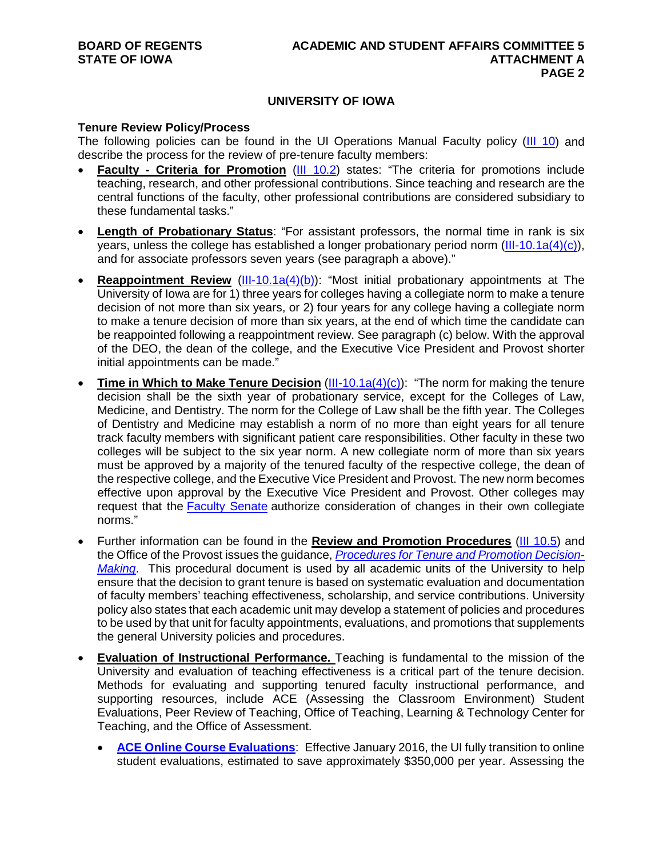# **UNIVERSITY OF IOWA**

#### **Tenure Review Policy/Process**

The following policies can be found in the UI Operations Manual Faculty policy [\(III 10\)](https://opsmanual.uiowa.edu/human-resources/faculty) and describe the process for the review of pre-tenure faculty members:

- **Faculty - Criteria for Promotion** [\(III 10.2\)](https://opsmanual.uiowa.edu/human-resources/faculty#10.2) states: "The criteria for promotions include teaching, research, and other professional contributions. Since teaching and research are the central functions of the faculty, other professional contributions are considered subsidiary to these fundamental tasks."
- **Length of Probationary Status**: "For assistant professors, the normal time in rank is six years, unless the college has established a longer probationary period norm  $(III-10.1a(4)(c))$ . and for associate professors seven years (see paragraph a above)."
- **Reappointment Review** [\(III-10.1a\(4\)\(b\)\)](https://opsmanual.uiowa.edu/human-resources/faculty/tenure-and-non-tenure-appointmentshttps:/opsmanual.uiowa.edu/human-resources/faculty/tenure-and-non-tenure-appointments): "Most initial probationary appointments at The University of Iowa are for 1) three years for colleges having a collegiate norm to make a tenure decision of not more than six years, or 2) four years for any college having a collegiate norm to make a tenure decision of more than six years, at the end of which time the candidate can be reappointed following a reappointment review. See paragraph (c) below. With the approval of the DEO, the dean of the college, and the Executive Vice President and Provost shorter initial appointments can be made."
- **Time in Which to Make Tenure Decision** [\(III-10.1a\(4\)\(c\)\)](https://opsmanual.uiowa.edu/human-resources/faculty/tenure-and-non-tenure-appointments): "The norm for making the tenure decision shall be the sixth year of probationary service, except for the Colleges of Law, Medicine, and Dentistry. The norm for the College of Law shall be the fifth year. The Colleges of Dentistry and Medicine may establish a norm of no more than eight years for all tenure track faculty members with significant patient care responsibilities. Other faculty in these two colleges will be subject to the six year norm. A new collegiate norm of more than six years must be approved by a majority of the tenured faculty of the respective college, the dean of the respective college, and the Executive Vice President and Provost. The new norm becomes effective upon approval by the Executive Vice President and Provost. Other colleges may request that the [Faculty Senate](https://uiowa.edu/facultysenate/) authorize consideration of changes in their own collegiate norms."
- Further information can be found in the **Review and Promotion Procedures** [\(III 10.5\)](https://opsmanual.uiowa.edu/human-resources/faculty#10.5) and the Office of the Provost issues the guidance, *[Procedures for Tenure and Promotion Decision-](http://provost.uiowa.edu/files/provost.uiowa.edu/files/prom_ten_proc_TT.pdf)[Making](http://provost.uiowa.edu/files/provost.uiowa.edu/files/prom_ten_proc_TT.pdf)*. This procedural document is used by all academic units of the University to help ensure that the decision to grant tenure is based on systematic evaluation and documentation of faculty members' teaching effectiveness, scholarship, and service contributions. University policy also states that each academic unit may develop a statement of policies and procedures to be used by that unit for faculty appointments, evaluations, and promotions that supplements the general University policies and procedures.
- **Evaluation of Instructional Performance.** Teaching is fundamental to the mission of the University and evaluation of teaching effectiveness is a critical part of the tenure decision. Methods for evaluating and supporting tenured faculty instructional performance, and supporting resources, include ACE (Assessing the Classroom Environment) Student Evaluations, Peer Review of Teaching, Office of Teaching, Learning & Technology Center for Teaching, and the Office of Assessment.
	- **[ACE Online Course Evaluations](https://teach.its.uiowa.edu/technology-tools/ace-online-course-evaluations)**: Effective January 2016, the UI fully transition to online student evaluations, estimated to save approximately \$350,000 per year. Assessing the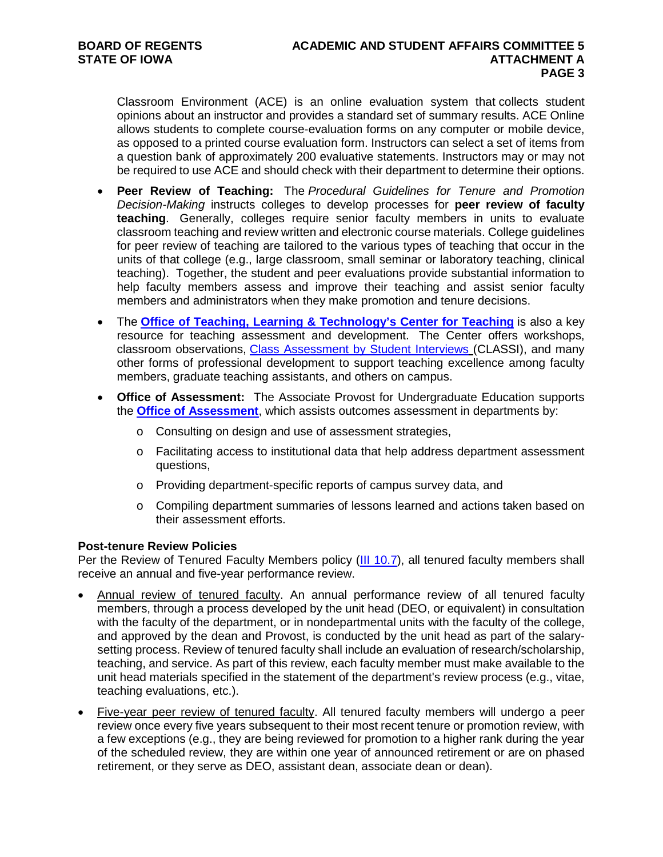Classroom Environment (ACE) is an online evaluation system that collects student opinions about an instructor and provides a standard set of summary results. ACE Online allows students to complete course-evaluation forms on any computer or mobile device, as opposed to a printed course evaluation form. Instructors can select a set of items from a question bank of approximately 200 evaluative statements. Instructors may or may not be required to use ACE and should check with their department to determine their options.

- **Peer Review of Teaching:** The *Procedural Guidelines for Tenure and Promotion Decision-Making* instructs colleges to develop processes for **peer review of faculty teaching**. Generally, colleges require senior faculty members in units to evaluate classroom teaching and review written and electronic course materials. College guidelines for peer review of teaching are tailored to the various types of teaching that occur in the units of that college (e.g., large classroom, small seminar or laboratory teaching, clinical teaching). Together, the student and peer evaluations provide substantial information to help faculty members assess and improve their teaching and assist senior faculty members and administrators when they make promotion and tenure decisions.
- The **[Office of Teaching, Learning & Technology's Center for Teaching](https://teach.its.uiowa.edu/organizations/center-teaching)** is also a key resource for teaching assessment and development. The Center offers workshops, classroom observations, [Class Assessment by Student Interviews](https://teach.its.uiowa.edu/class-assessment-student-interview-classi) (CLASSI), and many other forms of professional development to support teaching excellence among faculty members, graduate teaching assistants, and others on campus.
- **Office of Assessment:** The Associate Provost for Undergraduate Education supports the **[Office of Assessment](http://www.uiowa.edu/assessment)**, which assists outcomes assessment in departments by:
	- o Consulting on design and use of assessment strategies,
	- o Facilitating access to institutional data that help address department assessment questions,
	- o Providing department-specific reports of campus survey data, and
	- o Compiling department summaries of lessons learned and actions taken based on their assessment efforts.

# **Post-tenure Review Policies**

Per the Review of Tenured Faculty Members policy [\(III 10.7\)](https://opsmanual.uiowa.edu/human-resources/faculty#10.7), all tenured faculty members shall receive an annual and five-year performance review.

- Annual review of tenured faculty. An annual performance review of all tenured faculty members, through a process developed by the unit head (DEO, or equivalent) in consultation with the faculty of the department, or in nondepartmental units with the faculty of the college, and approved by the dean and Provost, is conducted by the unit head as part of the salarysetting process. Review of tenured faculty shall include an evaluation of research/scholarship, teaching, and service. As part of this review, each faculty member must make available to the unit head materials specified in the statement of the department's review process (e.g., vitae, teaching evaluations, etc.).
- Five-year peer review of tenured faculty. All tenured faculty members will undergo a peer review once every five years subsequent to their most recent tenure or promotion review, with a few exceptions (e.g., they are being reviewed for promotion to a higher rank during the year of the scheduled review, they are within one year of announced retirement or are on phased retirement, or they serve as DEO, assistant dean, associate dean or dean).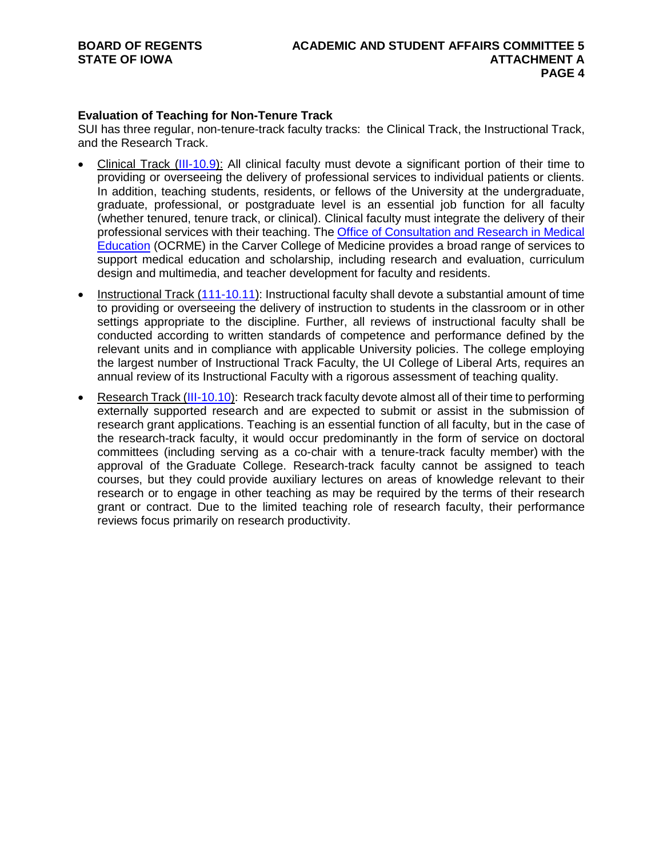# **Evaluation of Teaching for Non-Tenure Track**

SUI has three regular, non-tenure-track faculty tracks: the Clinical Track, the Instructional Track, and the Research Track.

- Clinical Track [\(III-10.9\)](https://opsmanual.uiowa.edu/human-resources/faculty#10.9): All clinical faculty must devote a significant portion of their time to providing or overseeing the delivery of professional services to individual patients or clients. In addition, teaching students, residents, or fellows of the University at the undergraduate, graduate, professional, or postgraduate level is an essential job function for all faculty (whether tenured, tenure track, or clinical). Clinical faculty must integrate the delivery of their professional services with their teaching. The Office of Consultation and Research in Medical [Education](https://medicine.uiowa.edu/ocrme/) (OCRME) in the Carver College of Medicine provides a broad range of services to support medical education and scholarship, including research and evaluation, curriculum design and multimedia, and teacher development for faculty and residents.
- Instructional Track [\(111-10.11\)](https://opsmanual.uiowa.edu/human-resources/faculty#10.11): Instructional faculty shall devote a substantial amount of time to providing or overseeing the delivery of instruction to students in the classroom or in other settings appropriate to the discipline. Further, all reviews of instructional faculty shall be conducted according to written standards of competence and performance defined by the relevant units and in compliance with applicable University policies. The college employing the largest number of Instructional Track Faculty, the UI College of Liberal Arts, requires an annual review of its Instructional Faculty with a rigorous assessment of teaching quality.
- Research Track [\(III-10.10\)](https://opsmanual.uiowa.edu/human-resources/faculty#10.10): Research track faculty devote almost all of their time to performing externally supported research and are expected to submit or assist in the submission of research grant applications. Teaching is an essential function of all faculty, but in the case of the research-track faculty, it would occur predominantly in the form of service on doctoral committees (including serving as a co-chair with a tenure-track faculty member) with the approval of the Graduate College. Research-track faculty cannot be assigned to teach courses, but they could provide auxiliary lectures on areas of knowledge relevant to their research or to engage in other teaching as may be required by the terms of their research grant or contract. Due to the limited teaching role of research faculty, their performance reviews focus primarily on research productivity.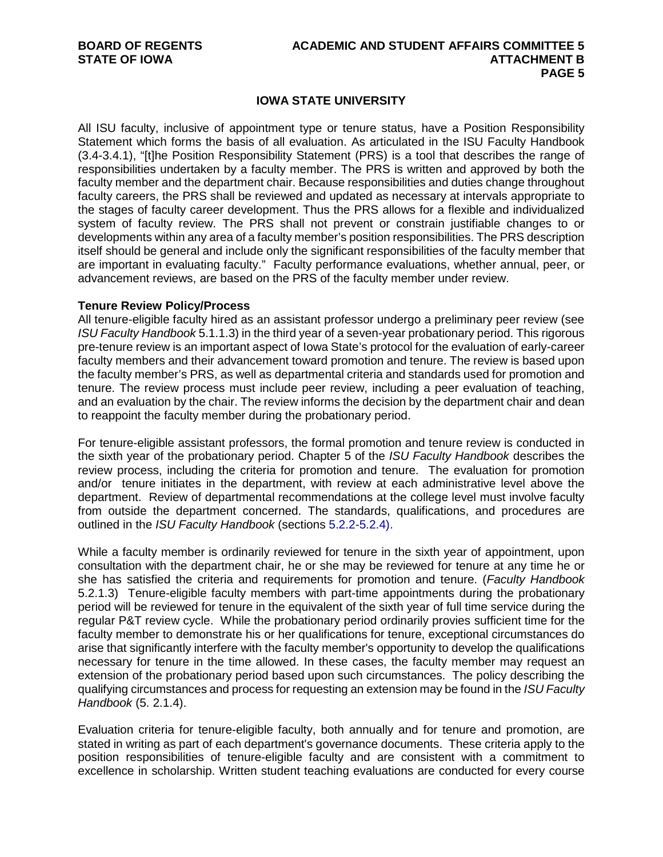# **IOWA STATE UNIVERSITY**

All ISU faculty, inclusive of appointment type or tenure status, have a Position Responsibility Statement which forms the basis of all evaluation. As articulated in the ISU Faculty Handbook (3.4-3.4.1), "[t]he Position Responsibility Statement (PRS) is a tool that describes the range of responsibilities undertaken by a faculty member. The PRS is written and approved by both the faculty member and the department chair. Because responsibilities and duties change throughout faculty careers, the PRS shall be reviewed and updated as necessary at intervals appropriate to the stages of faculty career development. Thus the PRS allows for a flexible and individualized system of faculty review. The PRS shall not prevent or constrain justifiable changes to or developments within any area of a faculty member's position responsibilities. The PRS description itself should be general and include only the significant responsibilities of the faculty member that are important in evaluating faculty." Faculty performance evaluations, whether annual, peer, or advancement reviews, are based on the PRS of the faculty member under review.

#### **Tenure Review Policy/Process**

All tenure-eligible faculty hired as an assistant professor undergo a preliminary peer review (see *ISU Faculty Handbook* 5.1.1.3) in the third year of a seven-year probationary period. This rigorous pre-tenure review is an important aspect of Iowa State's protocol for the evaluation of early-career faculty members and their advancement toward promotion and tenure. The review is based upon the faculty member's PRS, as well as departmental criteria and standards used for promotion and tenure. The review process must include peer review, including a peer evaluation of teaching, and an evaluation by the chair. The review informs the decision by the department chair and dean to reappoint the faculty member during the probationary period.

For tenure-eligible assistant professors, the formal promotion and tenure review is conducted in the sixth year of the probationary period. Chapter 5 of the *ISU Faculty Handbook* describes the review process, including the criteria for promotion and tenure. The evaluation for promotion and/or tenure initiates in the department, with review at each administrative level above the department. Review of departmental recommendations at the college level must involve faculty from outside the department concerned. The standards, qualifications, and procedures are outlined in the *ISU Faculty Handbook* (sections 5.2.2-5.2.4).

While a faculty member is ordinarily reviewed for tenure in the sixth year of appointment, upon consultation with the department chair, he or she may be reviewed for tenure at any time he or she has satisfied the criteria and requirements for promotion and tenure. (*Faculty Handbook* 5.2.1.3) Tenure-eligible faculty members with part-time appointments during the probationary period will be reviewed for tenure in the equivalent of the sixth year of full time service during the regular P&T review cycle. While the probationary period ordinarily provies sufficient time for the faculty member to demonstrate his or her qualifications for tenure, exceptional circumstances do arise that significantly interfere with the faculty member's opportunity to develop the qualifications necessary for tenure in the time allowed. In these cases, the faculty member may request an extension of the probationary period based upon such circumstances. The policy describing the qualifying circumstances and process for requesting an extension may be found in the *ISU Faculty Handbook* (5. 2.1.4).

Evaluation criteria for tenure-eligible faculty, both annually and for tenure and promotion, are stated in writing as part of each department's governance documents. These criteria apply to the position responsibilities of tenure-eligible faculty and are consistent with a commitment to excellence in scholarship. Written student teaching evaluations are conducted for every course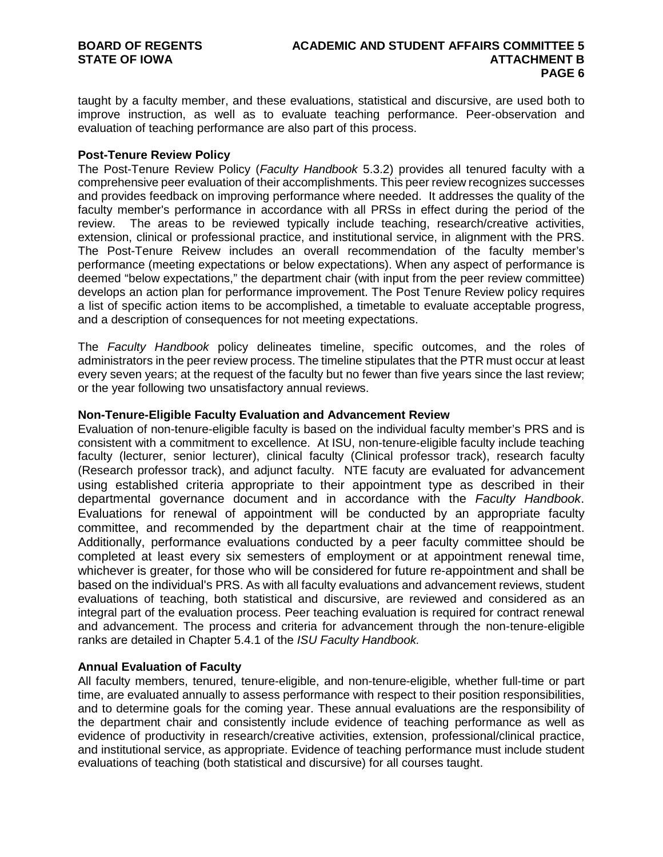taught by a faculty member, and these evaluations, statistical and discursive, are used both to improve instruction, as well as to evaluate teaching performance. Peer-observation and evaluation of teaching performance are also part of this process.

#### **Post-Tenure Review Policy**

The Post-Tenure Review Policy (*Faculty Handbook* 5.3.2) provides all tenured faculty with a comprehensive peer evaluation of their accomplishments. This peer review recognizes successes and provides feedback on improving performance where needed. It addresses the quality of the faculty member's performance in accordance with all PRSs in effect during the period of the review. The areas to be reviewed typically include teaching, research/creative activities, extension, clinical or professional practice, and institutional service, in alignment with the PRS. The Post-Tenure Reivew includes an overall recommendation of the faculty member's performance (meeting expectations or below expectations). When any aspect of performance is deemed "below expectations," the department chair (with input from the peer review committee) develops an action plan for performance improvement. The Post Tenure Review policy requires a list of specific action items to be accomplished, a timetable to evaluate acceptable progress, and a description of consequences for not meeting expectations.

The *Faculty Handbook* policy delineates timeline, specific outcomes, and the roles of administrators in the peer review process. The timeline stipulates that the PTR must occur at least every seven years; at the request of the faculty but no fewer than five years since the last review; or the year following two unsatisfactory annual reviews.

#### **Non-Tenure-Eligible Faculty Evaluation and Advancement Review**

Evaluation of non-tenure-eligible faculty is based on the individual faculty member's PRS and is consistent with a commitment to excellence. At ISU, non-tenure-eligible faculty include teaching faculty (lecturer, senior lecturer), clinical faculty (Clinical professor track), research faculty (Research professor track), and adjunct faculty. NTE facuty are evaluated for advancement using established criteria appropriate to their appointment type as described in their departmental governance document and in accordance with the *Faculty Handbook*. Evaluations for renewal of appointment will be conducted by an appropriate faculty committee, and recommended by the department chair at the time of reappointment. Additionally, performance evaluations conducted by a peer faculty committee should be completed at least every six semesters of employment or at appointment renewal time, whichever is greater, for those who will be considered for future re-appointment and shall be based on the individual's PRS. As with all faculty evaluations and advancement reviews, student evaluations of teaching, both statistical and discursive, are reviewed and considered as an integral part of the evaluation process. Peer teaching evaluation is required for contract renewal and advancement. The process and criteria for advancement through the non-tenure-eligible ranks are detailed in Chapter 5.4.1 of the *ISU Faculty Handbook.*

## **Annual Evaluation of Faculty**

All faculty members, tenured, tenure-eligible, and non-tenure-eligible, whether full-time or part time, are evaluated annually to assess performance with respect to their position responsibilities, and to determine goals for the coming year. These annual evaluations are the responsibility of the department chair and consistently include evidence of teaching performance as well as evidence of productivity in research/creative activities, extension, professional/clinical practice, and institutional service, as appropriate. Evidence of teaching performance must include student evaluations of teaching (both statistical and discursive) for all courses taught.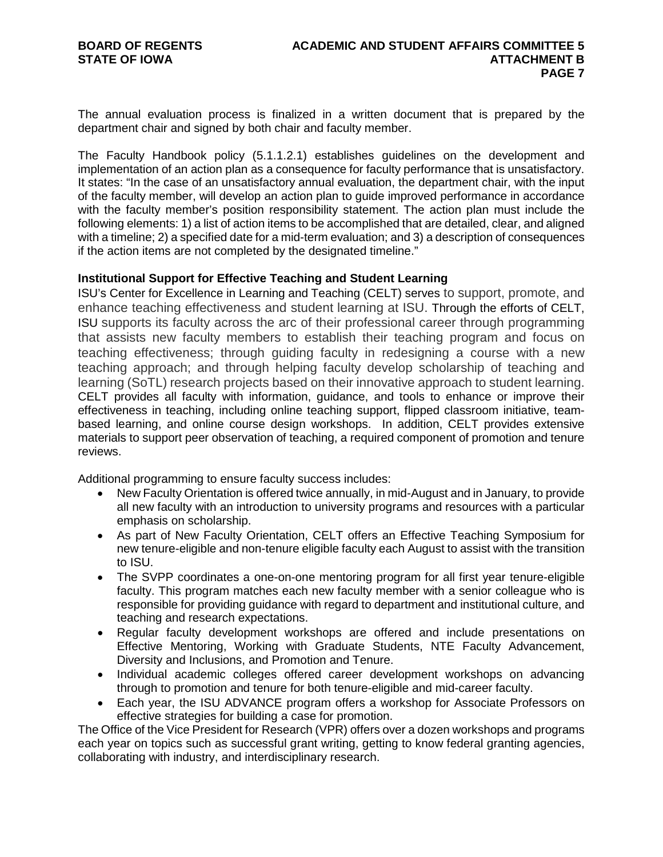The annual evaluation process is finalized in a written document that is prepared by the department chair and signed by both chair and faculty member.

The Faculty Handbook policy (5.1.1.2.1) establishes guidelines on the development and implementation of an action plan as a consequence for faculty performance that is unsatisfactory. It states: "In the case of an unsatisfactory annual evaluation, the department chair, with the input of the faculty member, will develop an action plan to guide improved performance in accordance with the faculty member's position responsibility statement. The action plan must include the following elements: 1) a list of action items to be accomplished that are detailed, clear, and aligned with a timeline; 2) a specified date for a mid-term evaluation; and 3) a description of consequences if the action items are not completed by the designated timeline."

## **Institutional Support for Effective Teaching and Student Learning**

ISU's Center for Excellence in Learning and Teaching (CELT) serves to support, promote, and enhance teaching effectiveness and student learning at ISU. Through the efforts of CELT, ISU supports its faculty across the arc of their professional career through programming that assists new faculty members to establish their teaching program and focus on teaching effectiveness; through guiding faculty in redesigning a course with a new teaching approach; and through helping faculty develop scholarship of teaching and learning (SoTL) research projects based on their innovative approach to student learning. CELT provides all faculty with information, guidance, and tools to enhance or improve their effectiveness in teaching, including online teaching support, flipped classroom initiative, teambased learning, and online course design workshops. In addition, CELT provides extensive materials to support peer observation of teaching, a required component of promotion and tenure reviews.

Additional programming to ensure faculty success includes:

- New Faculty Orientation is offered twice annually, in mid-August and in January, to provide all new faculty with an introduction to university programs and resources with a particular emphasis on scholarship.
- As part of New Faculty Orientation, CELT offers an Effective Teaching Symposium for new tenure-eligible and non-tenure eligible faculty each August to assist with the transition to ISU.
- The SVPP coordinates a one-on-one mentoring program for all first year tenure-eligible faculty. This program matches each new faculty member with a senior colleague who is responsible for providing guidance with regard to department and institutional culture, and teaching and research expectations.
- Regular faculty development workshops are offered and include presentations on Effective Mentoring, Working with Graduate Students, NTE Faculty Advancement, Diversity and Inclusions, and Promotion and Tenure.
- Individual academic colleges offered career development workshops on advancing through to promotion and tenure for both tenure-eligible and mid-career faculty.
- Each year, the ISU ADVANCE program offers a workshop for Associate Professors on effective strategies for building a case for promotion.

The Office of the Vice President for Research (VPR) offers over a dozen workshops and programs each year on topics such as successful grant writing, getting to know federal granting agencies, collaborating with industry, and interdisciplinary research.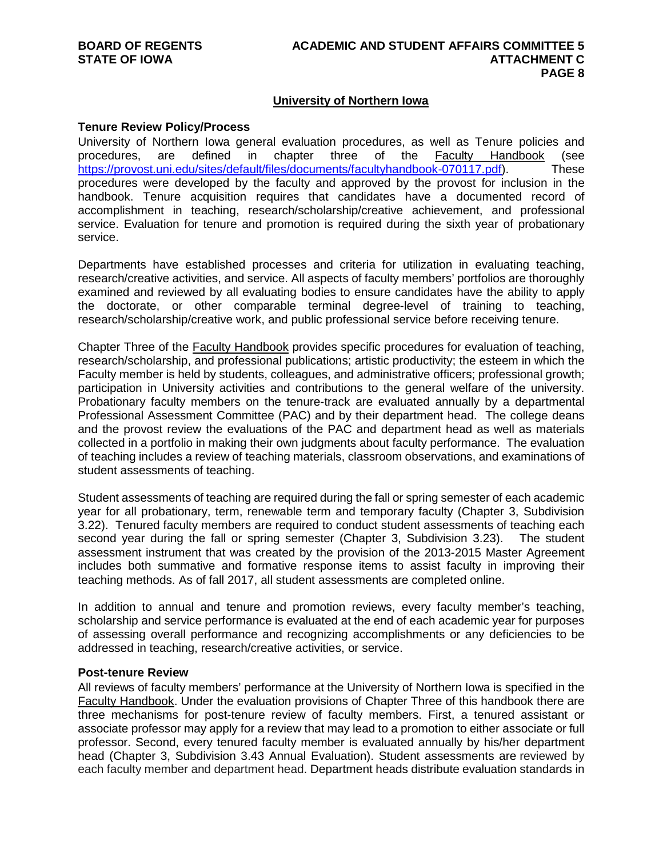# **University of Northern Iowa**

#### **Tenure Review Policy/Process**

University of Northern Iowa general evaluation procedures, as well as Tenure policies and procedures, are defined in chapter three of the Faculty Handbook (see procedures, are defined in chapter three of the Faculty Handbook (see [https://provost.uni.edu/sites/default/files/documents/facultyhandbook-070117.pdf\)](https://provost.uni.edu/sites/default/files/documents/facultyhandbook-070117.pdf). These procedures were developed by the faculty and approved by the provost for inclusion in the handbook. Tenure acquisition requires that candidates have a documented record of accomplishment in teaching, research/scholarship/creative achievement, and professional service. Evaluation for tenure and promotion is required during the sixth year of probationary service.

Departments have established processes and criteria for utilization in evaluating teaching, research/creative activities, and service. All aspects of faculty members' portfolios are thoroughly examined and reviewed by all evaluating bodies to ensure candidates have the ability to apply the doctorate, or other comparable terminal degree-level of training to teaching, research/scholarship/creative work, and public professional service before receiving tenure.

Chapter Three of the Faculty Handbook provides specific procedures for evaluation of teaching, research/scholarship, and professional publications; artistic productivity; the esteem in which the Faculty member is held by students, colleagues, and administrative officers; professional growth; participation in University activities and contributions to the general welfare of the university. Probationary faculty members on the tenure-track are evaluated annually by a departmental Professional Assessment Committee (PAC) and by their department head. The college deans and the provost review the evaluations of the PAC and department head as well as materials collected in a portfolio in making their own judgments about faculty performance. The evaluation of teaching includes a review of teaching materials, classroom observations, and examinations of student assessments of teaching.

Student assessments of teaching are required during the fall or spring semester of each academic year for all probationary, term, renewable term and temporary faculty (Chapter 3, Subdivision 3.22). Tenured faculty members are required to conduct student assessments of teaching each second year during the fall or spring semester (Chapter 3, Subdivision 3.23). The student assessment instrument that was created by the provision of the 2013-2015 Master Agreement includes both summative and formative response items to assist faculty in improving their teaching methods. As of fall 2017, all student assessments are completed online.

In addition to annual and tenure and promotion reviews, every faculty member's teaching, scholarship and service performance is evaluated at the end of each academic year for purposes of assessing overall performance and recognizing accomplishments or any deficiencies to be addressed in teaching, research/creative activities, or service.

#### **Post-tenure Review**

All reviews of faculty members' performance at the University of Northern Iowa is specified in the Faculty Handbook. Under the evaluation provisions of Chapter Three of this handbook there are three mechanisms for post-tenure review of faculty members. First, a tenured assistant or associate professor may apply for a review that may lead to a promotion to either associate or full professor. Second, every tenured faculty member is evaluated annually by his/her department head (Chapter 3, Subdivision 3.43 Annual Evaluation). Student assessments are reviewed by each faculty member and department head. Department heads distribute evaluation standards in